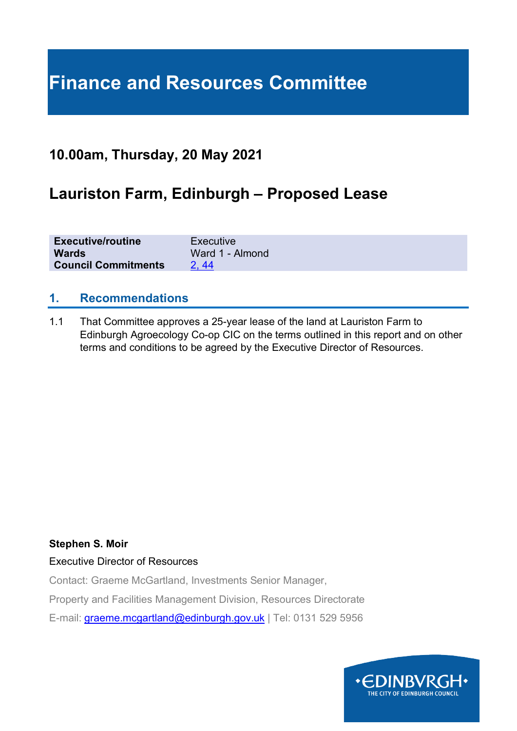# **Finance and Resources Committee**

### **10.00am, Thursday, 20 May 2021**

### **Lauriston Farm, Edinburgh – Proposed Lease**

| <b>Executive/routine</b>   | Executive       |
|----------------------------|-----------------|
| <b>Wards</b>               | Ward 1 - Almond |
| <b>Council Commitments</b> | 2.44            |

#### **1. Recommendations**

1.1 That Committee approves a 25-year lease of the land at Lauriston Farm to Edinburgh Agroecology Co-op CIC on the terms outlined in this report and on other terms and conditions to be agreed by the Executive Director of Resources.

#### **Stephen S. Moir**

Executive Director of Resources

Contact: Graeme McGartland, Investments Senior Manager,

Property and Facilities Management Division, Resources Directorate

E-mail: [graeme.mcgartland@edinburgh.gov.uk](mailto:graeme.mcgartland@edinburgh.gov.uk) | Tel: 0131 529 5956

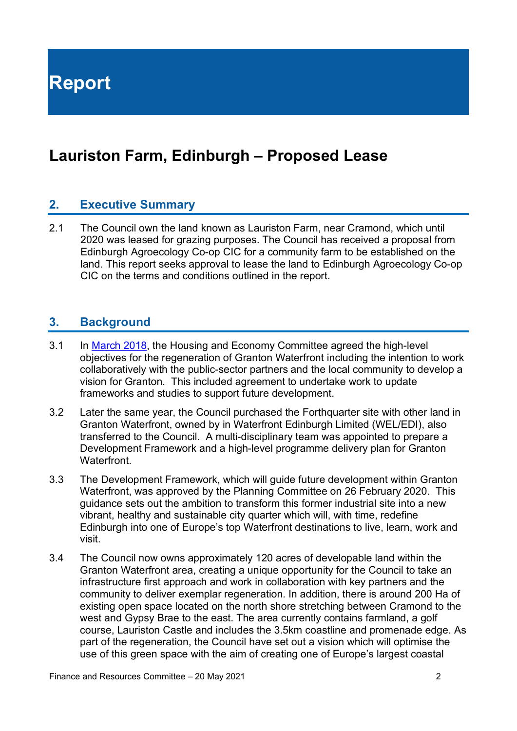**Report**

## **Lauriston Farm, Edinburgh – Proposed Lease**

#### **2. Executive Summary**

2.1 The Council own the land known as Lauriston Farm, near Cramond, which until 2020 was leased for grazing purposes. The Council has received a proposal from Edinburgh Agroecology Co-op CIC for a community farm to be established on the land. This report seeks approval to lease the land to Edinburgh Agroecology Co-op CIC on the terms and conditions outlined in the report.

#### **3. Background**

- 3.1 In [March 2018,](https://democracy.edinburgh.gov.uk/Data/Housing%20and%20Economy%20Committee/20180322/Agenda/item_74_-_granton_waterfront_regeneration_strategy.pdf) the Housing and Economy Committee agreed the high-level objectives for the regeneration of Granton Waterfront including the intention to work collaboratively with the public-sector partners and the local community to develop a vision for Granton. This included agreement to undertake work to update frameworks and studies to support future development.
- 3.2 Later the same year, the Council purchased the Forthquarter site with other land in Granton Waterfront, owned by in Waterfront Edinburgh Limited (WEL/EDI), also transferred to the Council. A multi-disciplinary team was appointed to prepare a Development Framework and a high-level programme delivery plan for Granton Waterfront.
- 3.3 The Development Framework, which will guide future development within Granton Waterfront, was approved by the Planning Committee on 26 February 2020. This guidance sets out the ambition to transform this former industrial site into a new vibrant, healthy and sustainable city quarter which will, with time, redefine Edinburgh into one of Europe's top Waterfront destinations to live, learn, work and visit.
- 3.4 The Council now owns approximately 120 acres of developable land within the Granton Waterfront area, creating a unique opportunity for the Council to take an infrastructure first approach and work in collaboration with key partners and the community to deliver exemplar regeneration. In addition, there is around 200 Ha of existing open space located on the north shore stretching between Cramond to the west and Gypsy Brae to the east. The area currently contains farmland, a golf course, Lauriston Castle and includes the 3.5km coastline and promenade edge. As part of the regeneration, the Council have set out a vision which will optimise the use of this green space with the aim of creating one of Europe's largest coastal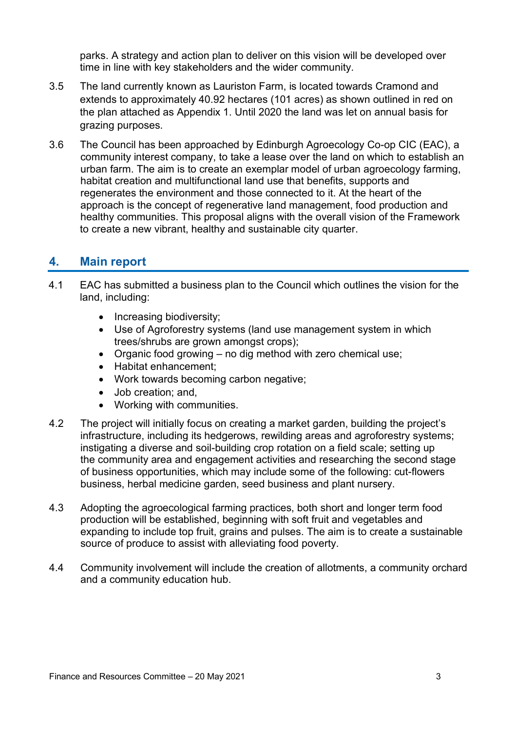parks. A strategy and action plan to deliver on this vision will be developed over time in line with key stakeholders and the wider community.

- 3.5 The land currently known as Lauriston Farm, is located towards Cramond and extends to approximately 40.92 hectares (101 acres) as shown outlined in red on the plan attached as Appendix 1. Until 2020 the land was let on annual basis for grazing purposes.
- 3.6 The Council has been approached by Edinburgh Agroecology Co-op CIC (EAC), a community interest company, to take a lease over the land on which to establish an urban farm. The aim is to create an exemplar model of urban agroecology farming, habitat creation and multifunctional land use that benefits, supports and regenerates the environment and those connected to it. At the heart of the approach is the concept of regenerative land management, food production and healthy communities. This proposal aligns with the overall vision of the Framework to create a new vibrant, healthy and sustainable city quarter.

#### **4. Main report**

- 4.1 EAC has submitted a business plan to the Council which outlines the vision for the land, including:
	- Increasing biodiversity;
	- Use of Agroforestry systems (land use management system in which trees/shrubs are grown amongst crops);
	- Organic food growing no dig method with zero chemical use;
	- Habitat enhancement;
	- Work towards becoming carbon negative;
	- Job creation: and,
	- Working with communities.
- 4.2 The project will initially focus on creating a market garden, building the project's infrastructure, including its hedgerows, rewilding areas and agroforestry systems; instigating a diverse and soil-building crop rotation on a field scale; setting up the community area and engagement activities and researching the second stage of business opportunities, which may include some of the following: cut-flowers business, herbal medicine garden, seed business and plant nursery.
- 4.3 Adopting the agroecological farming practices, both short and longer term food production will be established, beginning with soft fruit and vegetables and expanding to include top fruit, grains and pulses. The aim is to create a sustainable source of produce to assist with alleviating food poverty.
- 4.4 Community involvement will include the creation of allotments, a community orchard and a community education hub.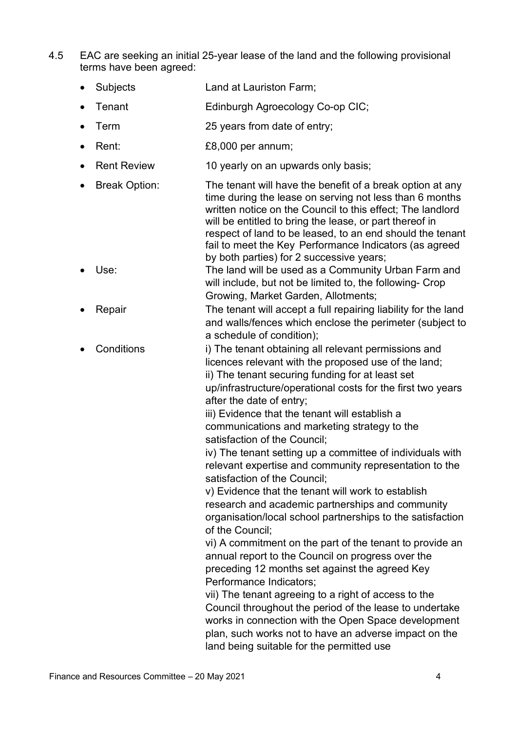- 4.5 EAC are seeking an initial 25-year lease of the land and the following provisional terms have been agreed:
	- Subjects Land at Lauriston Farm;
	- Tenant **Edinburgh Agroecology Co-op CIC;**
	- Term 25 years from date of entry;
	- Rent: £8,000 per annum;
	- Rent Review 10 yearly on an upwards only basis;
	- Break Option: The tenant will have the benefit of a break option at any time during the lease on serving not less than 6 months written notice on the Council to this effect; The landlord will be entitled to bring the lease, or part thereof in respect of land to be leased, to an end should the tenant fail to meet the Key Performance Indicators (as agreed by both parties) for 2 successive years;
	- Use: The land will be used as a Community Urban Farm and will include, but not be limited to, the following- Crop Growing, Market Garden, Allotments;
	- **Repair** Free tenant will accept a full repairing liability for the land and walls/fences which enclose the perimeter (subject to a schedule of condition);
	- Conditions i) The tenant obtaining all relevant permissions and licences relevant with the proposed use of the land; ii) The tenant securing funding for at least set up/infrastructure/operational costs for the first two years after the date of entry;

iii) Evidence that the tenant will establish a communications and marketing strategy to the satisfaction of the Council;

iv) The tenant setting up a committee of individuals with relevant expertise and community representation to the satisfaction of the Council;

v) Evidence that the tenant will work to establish research and academic partnerships and community organisation/local school partnerships to the satisfaction of the Council;

vi) A commitment on the part of the tenant to provide an annual report to the Council on progress over the preceding 12 months set against the agreed Key Performance Indicators;

vii) The tenant agreeing to a right of access to the Council throughout the period of the lease to undertake works in connection with the Open Space development plan, such works not to have an adverse impact on the land being suitable for the permitted use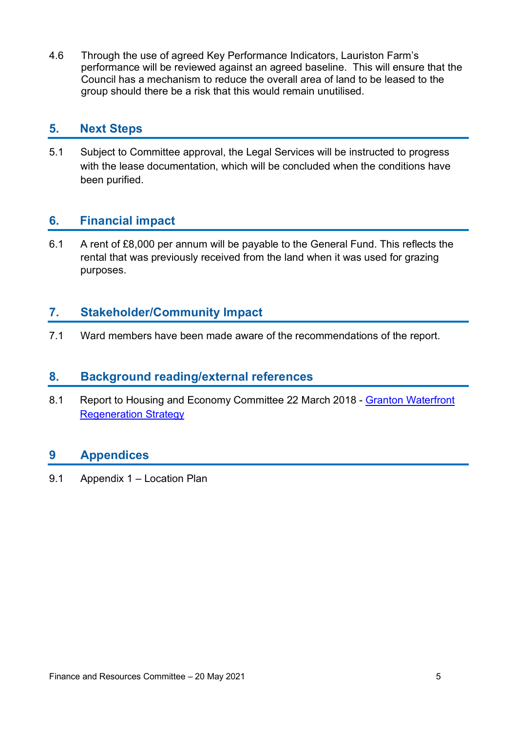4.6 Through the use of agreed Key Performance Indicators, Lauriston Farm's performance will be reviewed against an agreed baseline. This will ensure that the Council has a mechanism to reduce the overall area of land to be leased to the group should there be a risk that this would remain unutilised.

#### **5. Next Steps**

5.1 Subject to Committee approval, the Legal Services will be instructed to progress with the lease documentation, which will be concluded when the conditions have been purified.

### **6. Financial impact**

6.1 A rent of £8,000 per annum will be payable to the General Fund. This reflects the rental that was previously received from the land when it was used for grazing purposes.

#### **7. Stakeholder/Community Impact**

7.1 Ward members have been made aware of the recommendations of the report.

#### **8. Background reading/external references**

8.1 Report to Housing and Economy Committee 22 March 2018 - [Granton Waterfront](https://democracy.edinburgh.gov.uk/Data/Housing%20and%20Economy%20Committee/20180322/Agenda/item_74_-_granton_waterfront_regeneration_strategy.pdf) **[Regeneration Strategy](https://democracy.edinburgh.gov.uk/Data/Housing%20and%20Economy%20Committee/20180322/Agenda/item_74_-_granton_waterfront_regeneration_strategy.pdf)** 

### **9 Appendices**

9.1 Appendix 1 – Location Plan